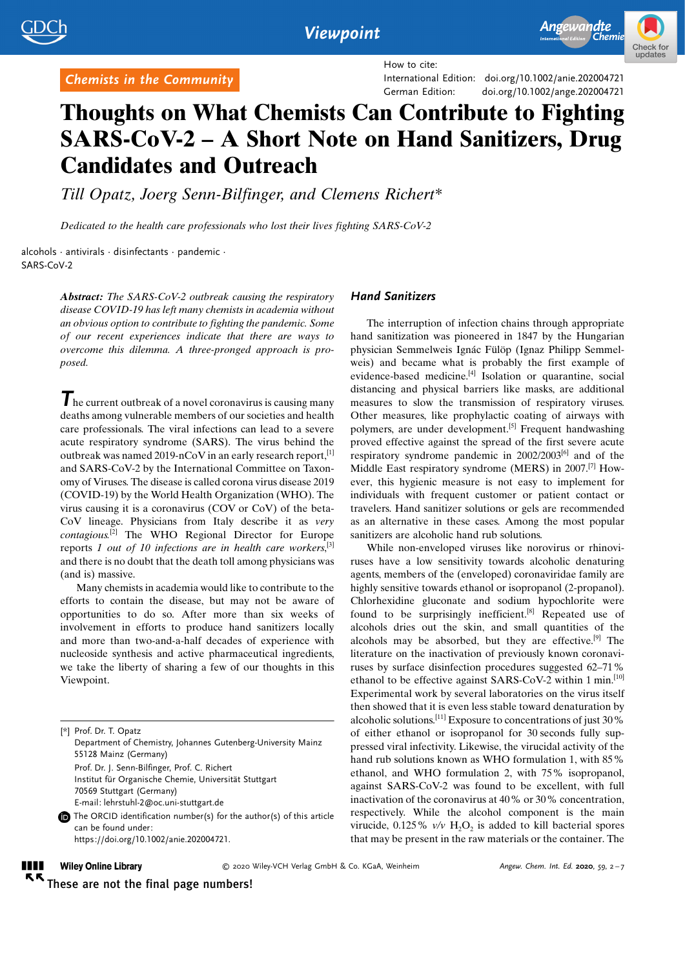

How to cite:

International Edition: doi.org/[10.1002/anie.202004721](http://dx.doi.org/10.1002/anie.202004721) German Edition: doi.org[/10.1002/ange.202004721](http://dx.doi.org/10.1002/ange.202004721)

# Thoughts on What Chemists Can Contribute to Fighting SARS-CoV-2 – A Short Note on Hand Sanitizers, Drug Candidates and Outreach

[Till Opatz,](http://orcid.org/0000-0002-3266-4050) Joerg Senn-Bilfinger, and [Clemens Richert\\*](http://orcid.org/0000-0002-6907-0205)

Dedicated to the health care professionals who lost their lives fighting SARS-CoV-2

alcohols · antivirals · disinfectants · pandemic · SARS-CoV-2

Chemists in the Community

Abstract: The SARS-CoV-2 outbreak causing the respiratory disease COVID-19 has left many chemists in academia without an obvious option to contribute to fighting the pandemic. Some of our recent experiences indicate that there are ways to overcome this dilemma. A three-pronged approach is proposed.

 $\mathcal T$  he current outbreak of a novel coronavirus is causing many deaths among vulnerable members of our societies and health care professionals. The viral infections can lead to a severe acute respiratory syndrome (SARS). The virus behind the outbreak was named 2019-nCoV in an early research report,  $[1]$ and SARS-CoV-2 by the International Committee on Taxonomy of Viruses. The disease is called corona virus disease 2019 (COVID-19) by the World Health Organization (WHO). The virus causing it is a coronavirus (COV or CoV) of the beta-CoV lineage. Physicians from Italy describe it as very contagious.[2] The WHO Regional Director for Europe reports 1 out of 10 infections are in health care workers,<sup>[3]</sup> and there is no doubt that the death toll among physicians was (and is) massive.

Many chemists in academia would like to contribute to the efforts to contain the disease, but may not be aware of opportunities to do so. After more than six weeks of involvement in efforts to produce hand sanitizers locally and more than two-and-a-half decades of experience with nucleoside synthesis and active pharmaceutical ingredients, we take the liberty of sharing a few of our thoughts in this Viewpoint.

[\*] Prof. Dr. T. Opatz Department of Chemistry, Johannes Gutenberg-University Mainz 55128 Mainz (Germany) Prof. Dr. J. Senn-Bilfinger, Prof. C. Richert Institut für Organische Chemie, Universität Stuttgart 70569 Stuttgart (Germany) E-mail: lehrstuhl-2@oc.uni-stuttgart.de The ORCID identification number(s) for the author(s) of this article can be found under: [https://doi.org/10.1002/anie.202004721.](https://doi.org/10.1002/anie.202004721)

#### Hand Sanitizers

The interruption of infection chains through appropriate hand sanitization was pioneered in 1847 by the Hungarian physician Semmelweis Ignác Fülöp (Ignaz Philipp Semmelweis) and became what is probably the first example of evidence-based medicine.[4] Isolation or quarantine, social distancing and physical barriers like masks, are additional measures to slow the transmission of respiratory viruses. Other measures, like prophylactic coating of airways with polymers, are under development.<sup>[5]</sup> Frequent handwashing proved effective against the spread of the first severe acute respiratory syndrome pandemic in 2002/2003[6] and of the Middle East respiratory syndrome (MERS) in 2007.[7] However, this hygienic measure is not easy to implement for individuals with frequent customer or patient contact or travelers. Hand sanitizer solutions or gels are recommended as an alternative in these cases. Among the most popular sanitizers are alcoholic hand rub solutions.

While non-enveloped viruses like norovirus or rhinoviruses have a low sensitivity towards alcoholic denaturing agents, members of the (enveloped) coronaviridae family are highly sensitive towards ethanol or isopropanol (2-propanol). Chlorhexidine gluconate and sodium hypochlorite were found to be surprisingly inefficient.<sup>[8]</sup> Repeated use of alcohols dries out the skin, and small quantities of the alcohols may be absorbed, but they are effective.[9] The literature on the inactivation of previously known coronaviruses by surface disinfection procedures suggested 62–71% ethanol to be effective against SARS-CoV-2 within 1 min.<sup>[10]</sup> Experimental work by several laboratories on the virus itself then showed that it is even less stable toward denaturation by alcoholic solutions.<sup>[11]</sup> Exposure to concentrations of just  $30\%$ of either ethanol or isopropanol for 30 seconds fully suppressed viral infectivity. Likewise, the virucidal activity of the hand rub solutions known as WHO formulation 1, with 85% ethanol, and WHO formulation 2, with 75% isopropanol, against SARS-CoV-2 was found to be excellent, with full inactivation of the coronavirus at 40% or 30% concentration, respectively. While the alcohol component is the main virucide,  $0.125\%$  v/v  $H<sub>2</sub>O<sub>2</sub>$  is added to kill bacterial spores that may be present in the raw materials or the container. The

#### **Wiley Online Library**

 $Q$  2020 Wiley-VCH Verlag GmbH & Co. KGaA, Weinheim  $APgew$ . Chem. Int. Ed. 2020, 59, 2-7

--These are not the final page numbers!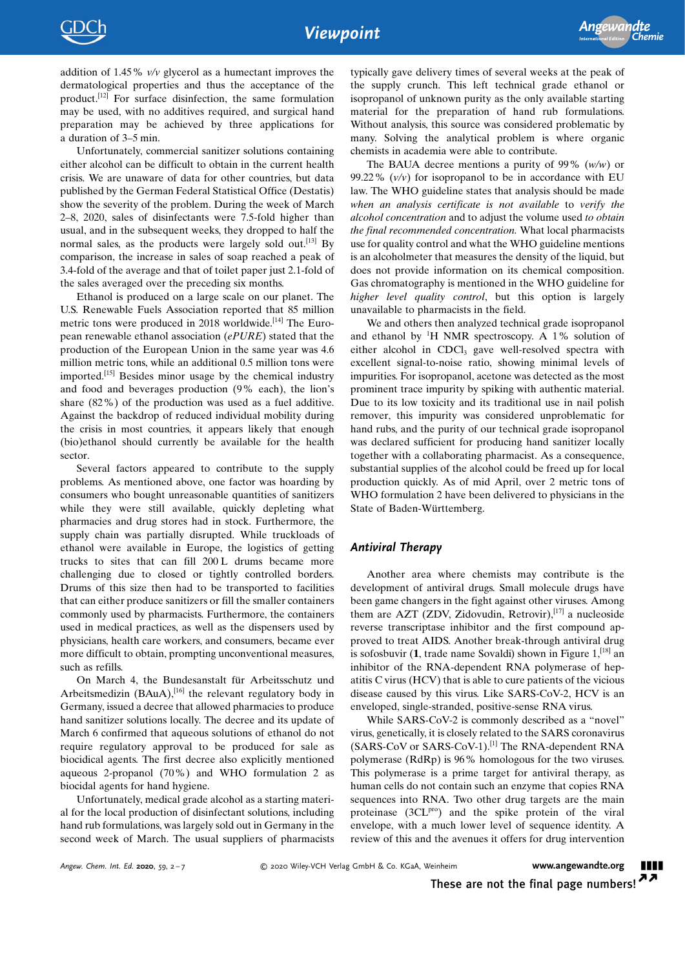addition of 1.45% v/v glycerol as a humectant improves the dermatological properties and thus the acceptance of the product.[12] For surface disinfection, the same formulation may be used, with no additives required, and surgical hand preparation may be achieved by three applications for a duration of 3–5 min.

Unfortunately, commercial sanitizer solutions containing either alcohol can be difficult to obtain in the current health crisis. We are unaware of data for other countries, but data published by the German Federal Statistical Office (Destatis) show the severity of the problem. During the week of March 2–8, 2020, sales of disinfectants were 7.5-fold higher than usual, and in the subsequent weeks, they dropped to half the normal sales, as the products were largely sold out.<sup>[13]</sup> By comparison, the increase in sales of soap reached a peak of 3.4-fold of the average and that of toilet paper just 2.1-fold of the sales averaged over the preceding six months.

Ethanol is produced on a large scale on our planet. The U.S. Renewable Fuels Association reported that 85 million metric tons were produced in 2018 worldwide.<sup>[14]</sup> The European renewable ethanol association (ePURE) stated that the production of the European Union in the same year was 4.6 million metric tons, while an additional 0.5 million tons were imported.[15] Besides minor usage by the chemical industry and food and beverages production  $(9\%$  each), the lion's share (82%) of the production was used as a fuel additive. Against the backdrop of reduced individual mobility during the crisis in most countries, it appears likely that enough (bio)ethanol should currently be available for the health sector.

Several factors appeared to contribute to the supply problems. As mentioned above, one factor was hoarding by consumers who bought unreasonable quantities of sanitizers while they were still available, quickly depleting what pharmacies and drug stores had in stock. Furthermore, the supply chain was partially disrupted. While truckloads of ethanol were available in Europe, the logistics of getting trucks to sites that can fill 200 L drums became more challenging due to closed or tightly controlled borders. Drums of this size then had to be transported to facilities that can either produce sanitizers or fill the smaller containers commonly used by pharmacists. Furthermore, the containers used in medical practices, as well as the dispensers used by physicians, health care workers, and consumers, became ever more difficult to obtain, prompting unconventional measures, such as refills.

On March 4, the Bundesanstalt für Arbeitsschutz und Arbeitsmedizin (BAuA), $^{[16]}$  the relevant regulatory body in Germany, issued a decree that allowed pharmacies to produce hand sanitizer solutions locally. The decree and its update of March 6 confirmed that aqueous solutions of ethanol do not require regulatory approval to be produced for sale as biocidical agents. The first decree also explicitly mentioned aqueous 2-propanol (70%) and WHO formulation 2 as biocidal agents for hand hygiene.

Unfortunately, medical grade alcohol as a starting material for the local production of disinfectant solutions, including hand rub formulations, was largely sold out in Germany in the second week of March. The usual suppliers of pharmacists

typically gave delivery times of several weeks at the peak of the supply crunch. This left technical grade ethanol or isopropanol of unknown purity as the only available starting material for the preparation of hand rub formulations. Without analysis, this source was considered problematic by many. Solving the analytical problem is where organic chemists in academia were able to contribute.

The BAUA decree mentions a purity of 99%  $(w/w)$  or 99.22%  $(v/v)$  for isopropanol to be in accordance with EU law. The WHO guideline states that analysis should be made when an analysis certificate is not available to verify the alcohol concentration and to adjust the volume used to obtain the final recommended concentration. What local pharmacists use for quality control and what the WHO guideline mentions is an alcoholmeter that measures the density of the liquid, but does not provide information on its chemical composition. Gas chromatography is mentioned in the WHO guideline for higher level quality control, but this option is largely unavailable to pharmacists in the field.

We and others then analyzed technical grade isopropanol and ethanol by  ${}^{1}H$  NMR spectroscopy. A 1% solution of either alcohol in CDCl<sub>3</sub> gave well-resolved spectra with excellent signal-to-noise ratio, showing minimal levels of impurities. For isopropanol, acetone was detected as the most prominent trace impurity by spiking with authentic material. Due to its low toxicity and its traditional use in nail polish remover, this impurity was considered unproblematic for hand rubs, and the purity of our technical grade isopropanol was declared sufficient for producing hand sanitizer locally together with a collaborating pharmacist. As a consequence, substantial supplies of the alcohol could be freed up for local production quickly. As of mid April, over 2 metric tons of WHO formulation 2 have been delivered to physicians in the State of Baden-Württemberg.

### Antiviral Therapy

Another area where chemists may contribute is the development of antiviral drugs. Small molecule drugs have been game changers in the fight against other viruses. Among them are AZT (ZDV, Zidovudin, Retrovir), $[17]$  a nucleoside reverse transcriptase inhibitor and the first compound approved to treat AIDS. Another break-through antiviral drug is sofosbuvir  $(1, \text{trade name Sovaldi})$  shown in Figure  $1,$ <sup>[18]</sup> an inhibitor of the RNA-dependent RNA polymerase of hepatitis C virus (HCV) that is able to cure patients of the vicious disease caused by this virus. Like SARS-CoV-2, HCV is an enveloped, single-stranded, positive-sense RNA virus.

While SARS-CoV-2 is commonly described as a "novel" virus, genetically, it is closely related to the SARS coronavirus (SARS-CoV or SARS-CoV-1).[1] The RNA-dependent RNA polymerase (RdRp) is 96% homologous for the two viruses. This polymerase is a prime target for antiviral therapy, as human cells do not contain such an enzyme that copies RNA sequences into RNA. Two other drug targets are the main proteinase (3CL<sup>pro</sup>) and the spike protein of the viral envelope, with a much lower level of sequence identity. A review of this and the avenues it offers for drug intervention

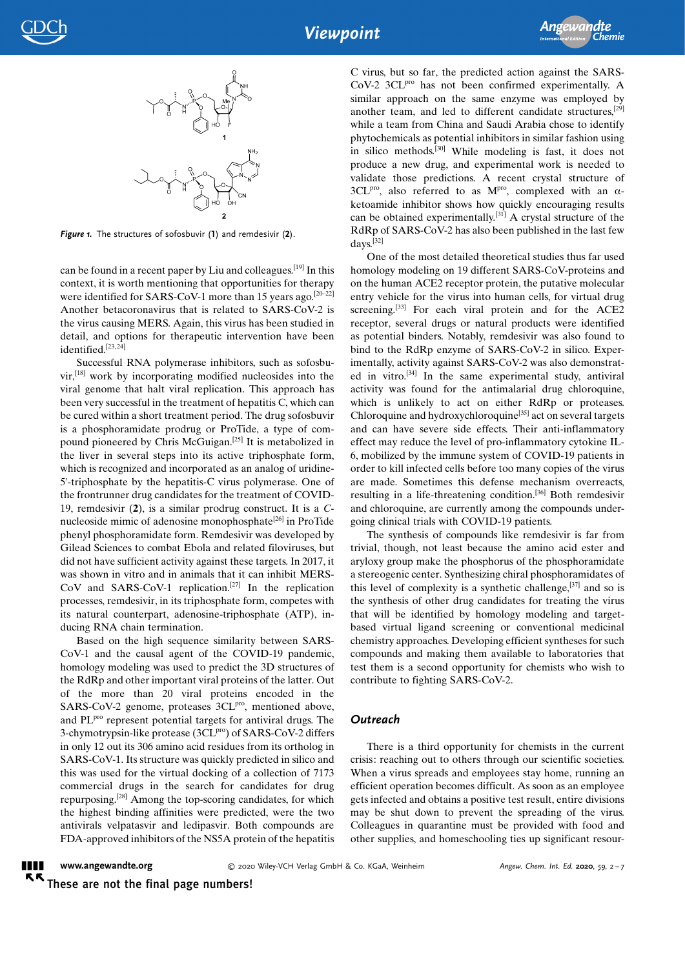

Figure 1. The structures of sofosbuvir (1) and remdesivir (2).

can be found in a recent paper by Liu and colleagues.[19] In this context, it is worth mentioning that opportunities for therapy were identified for SARS-CoV-1 more than 15 years ago.<sup>[20–22]</sup> Another betacoronavirus that is related to SARS-CoV-2 is the virus causing MERS. Again, this virus has been studied in detail, and options for therapeutic intervention have been identified.<sup>[23,24]</sup>

Successful RNA polymerase inhibitors, such as sofosbuvir,[18] work by incorporating modified nucleosides into the viral genome that halt viral replication. This approach has been very successful in the treatment of hepatitis C, which can be cured within a short treatment period. The drug sofosbuvir is a phosphoramidate prodrug or ProTide, a type of compound pioneered by Chris McGuigan.[25] It is metabolized in the liver in several steps into its active triphosphate form, which is recognized and incorporated as an analog of uridine-5'-triphosphate by the hepatitis-C virus polymerase. One of the frontrunner drug candidates for the treatment of COVID-19, remdesivir  $(2)$ , is a similar prodrug construct. It is a  $C$ nucleoside mimic of adenosine monophosphate[26] in ProTide phenyl phosphoramidate form. Remdesivir was developed by Gilead Sciences to combat Ebola and related filoviruses, but did not have sufficient activity against these targets. In 2017, it was shown in vitro and in animals that it can inhibit MERS- $CoV$  and SARS-CoV-1 replication.<sup>[27]</sup> In the replication processes, remdesivir, in its triphosphate form, competes with its natural counterpart, adenosine-triphosphate (ATP), inducing RNA chain termination.

Based on the high sequence similarity between SARS-CoV-1 and the causal agent of the COVID-19 pandemic, homology modeling was used to predict the 3D structures of the RdRp and other important viral proteins of the latter. Out of the more than 20 viral proteins encoded in the SARS-CoV-2 genome, proteases 3CL<sup>pro</sup>, mentioned above, and PL<sup>pro</sup> represent potential targets for antiviral drugs. The 3-chymotrypsin-like protease (3CL<sup>pro</sup>) of SARS-CoV-2 differs in only 12 out its 306 amino acid residues from its ortholog in SARS-CoV-1. Its structure was quickly predicted in silico and this was used for the virtual docking of a collection of 7173 commercial drugs in the search for candidates for drug repurposing.[28] Among the top-scoring candidates, for which the highest binding affinities were predicted, were the two antivirals velpatasvir and ledipasvir. Both compounds are FDA-approved inhibitors of the NS5A protein of the hepatitis C virus, but so far, the predicted action against the SARS-CoV-2 3CL<sup>pro</sup> has not been confirmed experimentally. A similar approach on the same enzyme was employed by another team, and led to different candidate structures,[29] while a team from China and Saudi Arabia chose to identify phytochemicals as potential inhibitors in similar fashion using in silico methods.[30] While modeling is fast, it does not produce a new drug, and experimental work is needed to validate those predictions. A recent crystal structure of  $3CL^{pro}$ , also referred to as M<sup>pro</sup>, complexed with an  $\alpha$ ketoamide inhibitor shows how quickly encouraging results can be obtained experimentally.[31] A crystal structure of the RdRp of SARS-CoV-2 has also been published in the last few days.[32]

One of the most detailed theoretical studies thus far used homology modeling on 19 different SARS-CoV-proteins and on the human ACE2 receptor protein, the putative molecular entry vehicle for the virus into human cells, for virtual drug screening.<sup>[33]</sup> For each viral protein and for the ACE2 receptor, several drugs or natural products were identified as potential binders. Notably, remdesivir was also found to bind to the RdRp enzyme of SARS-CoV-2 in silico. Experimentally, activity against SARS-CoV-2 was also demonstrated in vitro.[34] In the same experimental study, antiviral activity was found for the antimalarial drug chloroquine, which is unlikely to act on either RdRp or proteases. Chloroquine and hydroxychloroquine[35] act on several targets and can have severe side effects. Their anti-inflammatory effect may reduce the level of pro-inflammatory cytokine IL-6, mobilized by the immune system of COVID-19 patients in order to kill infected cells before too many copies of the virus are made. Sometimes this defense mechanism overreacts, resulting in a life-threatening condition.[36] Both remdesivir and chloroquine, are currently among the compounds undergoing clinical trials with COVID-19 patients.

The synthesis of compounds like remdesivir is far from trivial, though, not least because the amino acid ester and aryloxy group make the phosphorus of the phosphoramidate a stereogenic center. Synthesizing chiral phosphoramidates of this level of complexity is a synthetic challenge,  $[37]$  and so is the synthesis of other drug candidates for treating the virus that will be identified by homology modeling and targetbased virtual ligand screening or conventional medicinal chemistry approaches. Developing efficient syntheses for such compounds and making them available to laboratories that test them is a second opportunity for chemists who wish to contribute to fighting SARS-CoV-2.

#### **Outreach**

There is a third opportunity for chemists in the current crisis: reaching out to others through our scientific societies. When a virus spreads and employees stay home, running an efficient operation becomes difficult. As soon as an employee gets infected and obtains a positive test result, entire divisions may be shut down to prevent the spreading of the virus. Colleagues in quarantine must be provided with food and other supplies, and homeschooling ties up significant resour-

[www.angewandte.org](http://www.angewandte.org)  $\blacksquare$  $\kappa$ 

© 2020 Wiley-VCH Verlag GmbH & Co. KGaA, Weinheim Angew. Chem. Int. Ed. 2020, 59, 2-7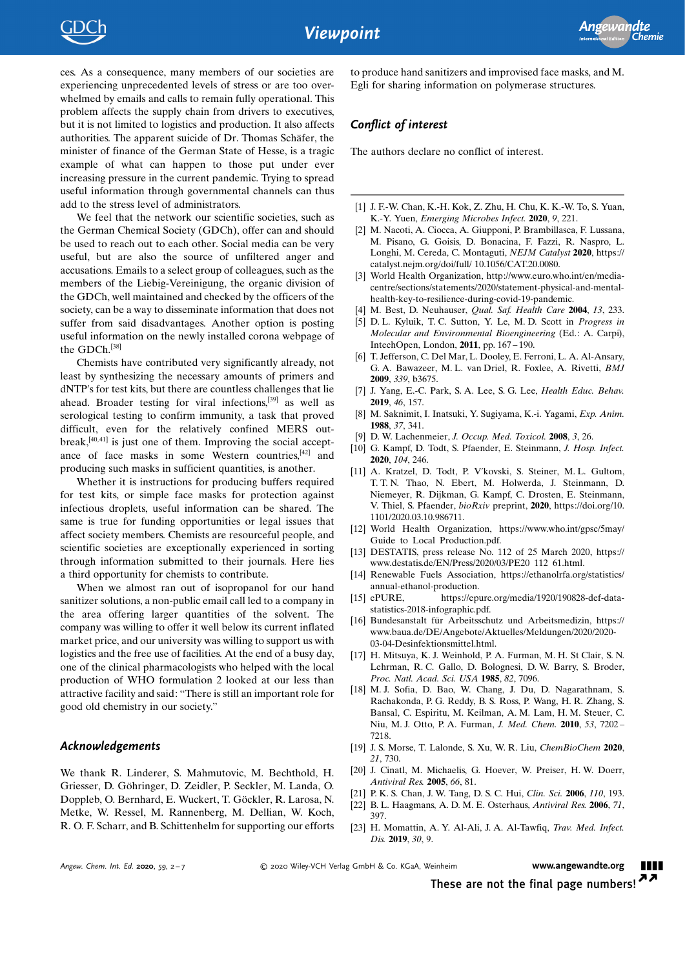ces. As a consequence, many members of our societies are experiencing unprecedented levels of stress or are too overwhelmed by emails and calls to remain fully operational. This problem affects the supply chain from drivers to executives, but it is not limited to logistics and production. It also affects authorities. The apparent suicide of Dr. Thomas Schäfer, the minister of finance of the German State of Hesse, is a tragic example of what can happen to those put under ever increasing pressure in the current pandemic. Trying to spread useful information through governmental channels can thus add to the stress level of administrators.

We feel that the network our scientific societies, such as the German Chemical Society (GDCh), offer can and should be used to reach out to each other. Social media can be very useful, but are also the source of unfiltered anger and accusations. Emails to a select group of colleagues, such as the members of the Liebig-Vereinigung, the organic division of the GDCh, well maintained and checked by the officers of the society, can be a way to disseminate information that does not suffer from said disadvantages. Another option is posting useful information on the newly installed corona webpage of the GDCh.[38]

Chemists have contributed very significantly already, not least by synthesizing the necessary amounts of primers and dNTP's for test kits, but there are countless challenges that lie ahead. Broader testing for viral infections,[39] as well as serological testing to confirm immunity, a task that proved difficult, even for the relatively confined MERS outbreak, $[40, 41]$  is just one of them. Improving the social acceptance of face masks in some Western countries,[42] and producing such masks in sufficient quantities, is another.

Whether it is instructions for producing buffers required for test kits, or simple face masks for protection against infectious droplets, useful information can be shared. The same is true for funding opportunities or legal issues that affect society members. Chemists are resourceful people, and scientific societies are exceptionally experienced in sorting through information submitted to their journals. Here lies a third opportunity for chemists to contribute.

When we almost ran out of isopropanol for our hand sanitizer solutions, a non-public email call led to a company in the area offering larger quantities of the solvent. The company was willing to offer it well below its current inflated market price, and our university was willing to support us with logistics and the free use of facilities. At the end of a busy day, one of the clinical pharmacologists who helped with the local production of WHO formulation 2 looked at our less than attractive facility and said: "There is still an important role for good old chemistry in our society."

#### Acknowledgements

We thank R. Linderer, S. Mahmutovic, M. Bechthold, H. Griesser, D. Göhringer, D. Zeidler, P. Seckler, M. Landa, O. Doppleb, O. Bernhard, E. Wuckert, T. Göckler, R. Larosa, N. Metke, W. Ressel, M. Rannenberg, M. Dellian, W. Koch, R. O. F. Scharr, and B. Schittenhelm for supporting our efforts to produce hand sanitizers and improvised face masks, and M. Egli for sharing information on polymerase structures.

### Conflict of interest

The authors declare no conflict of interest.

- [1] J. F.-W. Chan, K.-H. Kok, Z. Zhu, H. Chu, K. K.-W. To, S. Yuan, K.-Y. Yuen, [Emerging Microbes Infect.](https://doi.org/10.1080/22221751.2020.1719902) 2020, 9, 221.
- [2] M. Nacoti, A. Ciocca, A. Giupponi, P. Brambillasca, F. Lussana, M. Pisano, G. Goisis, D. Bonacina, F. Fazzi, R. Naspro, L. Longhi, M. Cereda, C. Montaguti, NEJM Catalyst 2020, [https://](https://catalyst.nejm.org/doi/full/ 10.1056/CAT.20.0080) [catalyst.nejm.org/doi/full/ 10.1056/CAT.20.0080](https://catalyst.nejm.org/doi/full/ 10.1056/CAT.20.0080).
- [3] World Health Organization, [http://www.euro.who.int/en/media](http://www.euro.who.int/en/media-centre/sections/statements/2020/statement-physical-and-mental-health-key-to-resilience-during-covid-19-pandemic)[centre/sections/statements/2020/statement-physical-and-mental](http://www.euro.who.int/en/media-centre/sections/statements/2020/statement-physical-and-mental-health-key-to-resilience-during-covid-19-pandemic)[health-key-to-resilience-during-covid-19-pandemic](http://www.euro.who.int/en/media-centre/sections/statements/2020/statement-physical-and-mental-health-key-to-resilience-during-covid-19-pandemic).
- [4] M. Best, D. Neuhauser, *[Qual. Saf. Health Care](https://doi.org/10.1136/qshc.2004.010918)* 2004, 13, 233.
- [5] D. L. Kyluik, T. C. Sutton, Y. Le, M. D. Scott in Progress in Molecular and Environmental Bioengineering (Ed.: A. Carpi), IntechOpen, London, 2011, pp. 167 – 190.
- [6] T. Jefferson, C. Del Mar, L. Dooley, E. Ferroni, L. A. Al-Ansary, G. A. Bawazeer, M. L. van Driel, R. Foxlee, A. Rivetti, [BMJ](https://doi.org/10.1136/bmj.b3675) 2009, 339[, b3675](https://doi.org/10.1136/bmj.b3675).
- [7] J. Yang, E.-C. Park, S. A. Lee, S. G. Lee, [Health Educ. Behav.](https://doi.org/10.1177/1090198118783829) 2019, 46[, 157.](https://doi.org/10.1177/1090198118783829)
- [8] M. Saknimit, I. Inatsuki, Y. Sugiyama, K.-i. Yagami, [Exp. Anim.](https://doi.org/10.1538/expanim1978.37.3_341) 1988, 37[, 341.](https://doi.org/10.1538/expanim1978.37.3_341)
- [9] D. W. Lachenmeier, [J. Occup. Med. Toxicol.](https://doi.org/10.1186/1745-6673-3-26) 2008, 3, 26.
- [10] G. Kampf, D. Todt, S. Pfaender, E. Steinmann, [J. Hosp. Infect.](https://doi.org/10.1016/j.jhin.2020.01.022) 2020, 104[, 246.](https://doi.org/10.1016/j.jhin.2020.01.022)
- [11] A. Kratzel, D. Todt, P. V'kovski, S. Steiner, M. L. Gultom, T. T. N. Thao, N. Ebert, M. Holwerda, J. Steinmann, D. Niemeyer, R. Dijkman, G. Kampf, C. Drosten, E. Steinmann, V. Thiel, S. Pfaender, bioRxiv preprint, 2020, [https://doi.org/10.](https://doi.org/10.1101/2020.03.10.986711) [1101/2020.03.10.986711](https://doi.org/10.1101/2020.03.10.986711).
- [12] World Health Organization, [https://www.who.int/gpsc/5may/](https://www.who.int/gpsc/5may/Guide_to_Local_Production.pdf) [Guide to Local Production.pdf.](https://www.who.int/gpsc/5may/Guide_to_Local_Production.pdf)
- [13] DESTATIS, press release No. 112 of 25 March 2020, [https://](https://www.destatis.de/EN/Press/2020/03/PE20_112_61.html) [www.destatis.de/EN/Press/2020/03/PE20 112 61.html](https://www.destatis.de/EN/Press/2020/03/PE20_112_61.html).
- [14] Renewable Fuels Association, [https://ethanolrfa.org/statistics/](https://ethanolrfa.org/statistics/annual-ethanol-production) [annual-ethanol-production.](https://ethanolrfa.org/statistics/annual-ethanol-production)
- [15] ePURE, [https://epure.org/media/1920/190828-def-data](https://epure.org/media/1920/190828-def-data-statistics-2018-infographic.pdf)[statistics-2018-infographic.pdf.](https://epure.org/media/1920/190828-def-data-statistics-2018-infographic.pdf)
- [16] Bundesanstalt für Arbeitsschutz und Arbeitsmedizin, [https://](https://www.baua.de/DE/Angebote/Aktuelles/Meldungen/2020/2020-03-04-Desinfektionsmittel.html) [www.baua.de/DE/Angebote/Aktuelles/Meldungen/2020/2020-](https://www.baua.de/DE/Angebote/Aktuelles/Meldungen/2020/2020-03-04-Desinfektionsmittel.html) [03-04-Desinfektionsmittel.html.](https://www.baua.de/DE/Angebote/Aktuelles/Meldungen/2020/2020-03-04-Desinfektionsmittel.html)
- [17] H. Mitsuya, K. J. Weinhold, P. A. Furman, M. H. St Clair, S. N. Lehrman, R. C. Gallo, D. Bolognesi, D. W. Barry, S. Broder, [Proc. Natl. Acad. Sci. USA](https://doi.org/10.1073/pnas.82.20.7096) 1985, 82, 7096.
- [18] M. J. Sofia, D. Bao, W. Chang, J. Du, D. Nagarathnam, S. Rachakonda, P. G. Reddy, B. S. Ross, P. Wang, H. R. Zhang, S. Bansal, C. Espiritu, M. Keilman, A. M. Lam, H. M. Steuer, C. Niu, M. J. Otto, P. A. Furman, [J. Med. Chem.](https://doi.org/10.1021/jm100863x) 2010, 53, 7202 – [7218](https://doi.org/10.1021/jm100863x).
- [19] J. S. Morse, T. Lalonde, S. Xu, W. R. Liu, [ChemBioChem](https://doi.org/10.1002/cbic.202000047) 2020, 21[, 730](https://doi.org/10.1002/cbic.202000047).
- [20] J. Cinatl, M. Michaelis, G. Hoever, W. Preiser, H. W. Doerr, Antiviral Res. 2005, 66, 81.
- [21] P. K. S. Chan, J. W. Tang, D. S. C. Hui, [Clin. Sci.](https://doi.org/10.1042/CS20050188) 2006, 110, 193.
- [22] B. L. Haagmans, A. D. M. E. Osterhaus, [Antiviral Res.](https://doi.org/10.1016/j.antiviral.2006.05.019) 2006, 71, [397](https://doi.org/10.1016/j.antiviral.2006.05.019).
- [23] H. Momattin, A. Y. Al-Ali, J. A. Al-Tawfiq, [Trav. Med. Infect.](https://doi.org/10.1016/j.tmaid.2019.06.012) Dis. [2019](https://doi.org/10.1016/j.tmaid.2019.06.012), 30, 9.

© 2020 Wiley-VCH Verlag GmbH & Co. KGaA, Weinheim **[www.angewandte.org](http://www.angewandte.org)** 

These are not the final page numbers!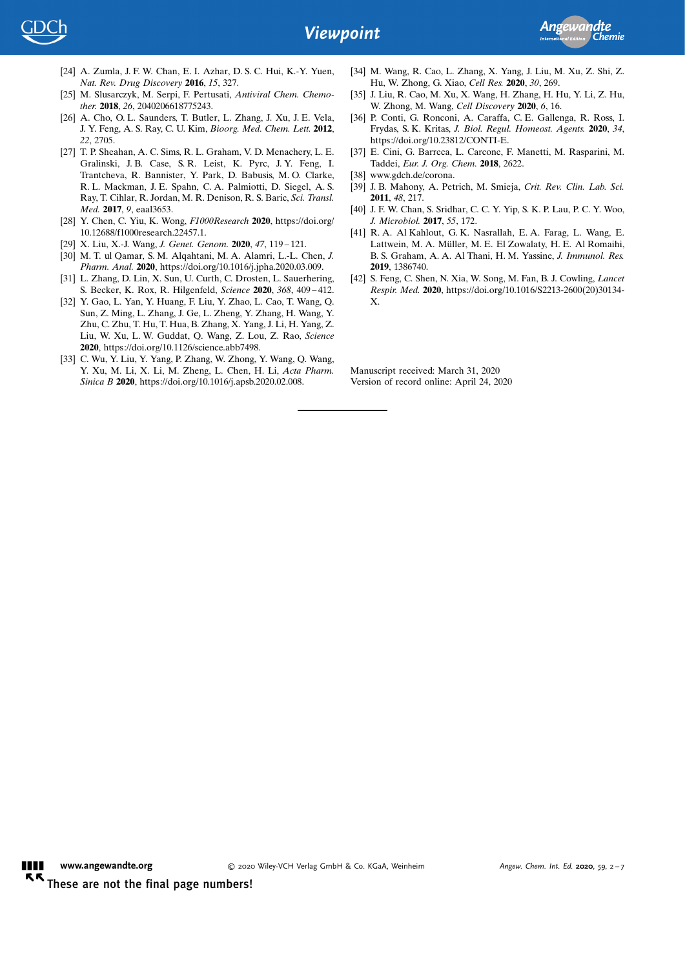

- [24] A. Zumla, J. F. W. Chan, E. I. Azhar, D. S. C. Hui, K.-Y. Yuen, [Nat. Rev. Drug Discovery](https://doi.org/10.1038/nrd.2015.37) 2016, 15, 327.
- [25] M. Slusarczyk, M. Serpi, F. Pertusati, [Antiviral Chem. Chemo](https://doi.org/10.1177/2040206618775243)ther. 2018, 26[, 2040206618775243](https://doi.org/10.1177/2040206618775243).
- [26] A. Cho, O. L. Saunders, T. Butler, L. Zhang, J. Xu, J. E. Vela, J. Y. Feng, A. S. Ray, C. U. Kim, [Bioorg. Med. Chem. Lett.](https://doi.org/10.1016/j.bmcl.2012.02.105) 2012, 22[, 2705](https://doi.org/10.1016/j.bmcl.2012.02.105).
- [27] T. P. Sheahan, A. C. Sims, R. L. Graham, V. D. Menachery, L. E. Gralinski, J. B. Case, S. R. Leist, K. Pyrc, J. Y. Feng, I. Trantcheva, R. Bannister, Y. Park, D. Babusis, M. O. Clarke, R. L. Mackman, J. E. Spahn, C. A. Palmiotti, D. Siegel, A. S. Ray, T. Cihlar, R. Jordan, M. R. Denison, R. S. Baric, [Sci. Transl.](https://doi.org/10.1126/scitranslmed.aal3653) Med. 2017, 9[, eaal3653.](https://doi.org/10.1126/scitranslmed.aal3653)
- [28] Y. Chen, C. Yiu, K. Wong, F1000Research 2020, [https://doi.org/](https://doi.org/10.12688/f1000research.22457.1) [10.12688/f1000research.22457.1.](https://doi.org/10.12688/f1000research.22457.1)
- [29] X. Liu, X.-J. Wang, [J. Genet. Genom.](https://doi.org/10.1016/j.jgg.2020.02.001) 2020, 47, 119 121.
- [30] M. T. ul Qamar, S. M. Alqahtani, M. A. Alamri, L.-L. Chen, J. Pharm. Anal. 2020, [https://doi.org/10.1016/j.jpha.2020.03.009.](https://doi.org/10.1016/j.jpha.2020.03.009)
- [31] L. Zhang, D. Lin, X. Sun, U. Curth, C. Drosten, L. Sauerhering, S. Becker, K. Rox, R. Hilgenfeld, Science 2020, 368, 409 – 412.
- [32] Y. Gao, L. Yan, Y. Huang, F. Liu, Y. Zhao, L. Cao, T. Wang, Q. Sun, Z. Ming, L. Zhang, J. Ge, L. Zheng, Y. Zhang, H. Wang, Y. Zhu, C. Zhu, T. Hu, T. Hua, B. Zhang, X. Yang, J. Li, H. Yang, Z. Liu, W. Xu, L. W. Guddat, Q. Wang, Z. Lou, Z. Rao, Science 2020, [https://doi.org/10.1126/science.abb7498.](https://doi.org/10.1126/science.abb7498)
- [33] C. Wu, Y. Liu, Y. Yang, P. Zhang, W. Zhong, Y. Wang, Q. Wang, Y. Xu, M. Li, X. Li, M. Zheng, L. Chen, H. Li, Acta Pharm. Sinica B 2020,<https://doi.org/10.1016/j.apsb.2020.02.008>.
- [34] M. Wang, R. Cao, L. Zhang, X. Yang, J. Liu, M. Xu, Z. Shi, Z. Hu, W. Zhong, G. Xiao, [Cell Res.](https://doi.org/10.1038/s41422-020-0282-0) 2020, 30, 269.
- [35] J. Liu, R. Cao, M. Xu, X. Wang, H. Zhang, H. Hu, Y. Li, Z. Hu, W. Zhong, M. Wang, Cell Discovery 2020, 6, 16.
- [36] P. Conti, G. Ronconi, A. Caraffa, C. E. Gallenga, R. Ross, I. Frydas, S. K. Kritas, J. Biol. Regul. Homeost. Agents. 2020, 34, [https://doi.org/10.23812/CONTI-E.](https://doi.org/10.23812/CONTI-E)
- [37] E. Cini, G. Barreca, L. Carcone, F. Manetti, M. Rasparini, M. Taddei, [Eur. J. Org. Chem.](https://doi.org/10.1002/ejoc.201800158) 2018, 2622.
- [38] [www.gdch.de/corona](http://www.gdch.de/corona).
- [39] J. B. Mahony, A. Petrich, M. Smieja, [Crit. Rev. Clin. Lab. Sci.](https://doi.org/10.3109/10408363.2011.640976) 2011, 48[, 217.](https://doi.org/10.3109/10408363.2011.640976)
- [40] J. F. W. Chan, S. Sridhar, C. C. Y. Yip, S. K. P. Lau, P. C. Y. Woo, [J. Microbiol.](https://doi.org/10.1007/s12275-017-7026-y) 2017, 55, 172.
- [41] R. A. Al Kahlout, G. K. Nasrallah, E. A. Farag, L. Wang, E. Lattwein, M. A. Müller, M. E. El Zowalaty, H. E. Al Romaihi, B. S. Graham, A. A. Al Thani, H. M. Yassine, J. Immunol. Res. 2019, 1386740.
- [42] S. Feng, C. Shen, N. Xia, W. Song, M. Fan, B. J. Cowling, Lancet Respir. Med. 2020, [https://doi.org/10.1016/S2213-2600\(20\)30134-](https://doi.org/10.1016/S2213-2600(20)30134-X) [X](https://doi.org/10.1016/S2213-2600(20)30134-X).

Manuscript received: March 31, 2020 Version of record online: April 24, 2020

[www.angewandte.org](http://www.angewandte.org)  $\blacksquare$  $\kappa$ 

© 2020 Wiley-VCH Verlag GmbH & Co. KGaA, Weinheim Angew. Chem. Int. Ed. 2020, 59, 2-7